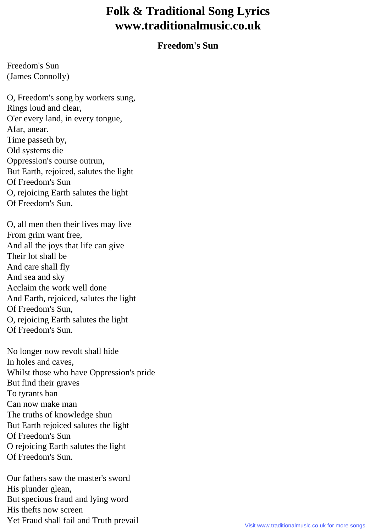## **Folk & Traditional Song Lyrics www.traditionalmusic.co.uk**

## **Freedom's Sun**

Freedom's Sun (James Connolly)

O, Freedom's song by workers sung, Rings loud and clear, O'er every land, in every tongue, Afar, anear. Time passeth by, Old systems die Oppression's course outrun, But Earth, rejoiced, salutes the light Of Freedom's Sun O, rejoicing Earth salutes the light Of Freedom's Sun.

O, all men then their lives may live From grim want free, And all the joys that life can give Their lot shall be And care shall fly And sea and sky Acclaim the work well done And Earth, rejoiced, salutes the light Of Freedom's Sun, O, rejoicing Earth salutes the light Of Freedom's Sun.

No longer now revolt shall hide In holes and caves, Whilst those who have Oppression's pride But find their graves To tyrants ban Can now make man The truths of knowledge shun But Earth rejoiced salutes the light Of Freedom's Sun O rejoicing Earth salutes the light Of Freedom's Sun.

Our fathers saw the master's sword His plunder glean, But specious fraud and lying word His thefts now screen Yet Fraud shall fail and Truth prevail